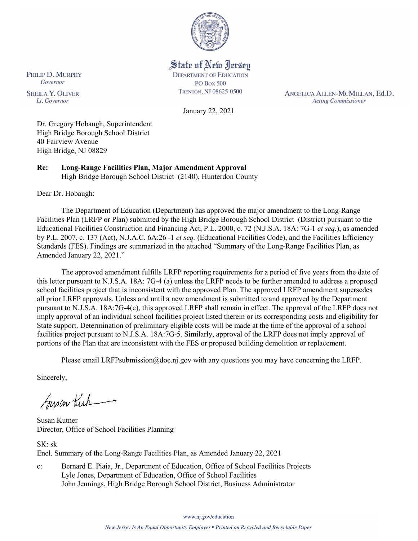

State of New Jersey

**DEPARTMENT OF EDUCATION PO Box 500** TRENTON, NJ 08625-0500

ANGELICA ALLEN-MCMILLAN, Ed.D. **Acting Commissioner** 

January 22, 2021

Dr. Gregory Hobaugh, Superintendent High Bridge Borough School District 40 Fairview Avenue High Bridge, NJ 08829

**Re: Long-Range Facilities Plan, Major Amendment Approval**  High Bridge Borough School District (2140), Hunterdon County

Dear Dr. Hobaugh:

PHILIP D. MURPHY

Governor

**SHEILA Y. OLIVER** 

Lt. Governor

The Department of Education (Department) has approved the major amendment to the Long-Range Facilities Plan (LRFP or Plan) submitted by the High Bridge Borough School District (District) pursuant to the Educational Facilities Construction and Financing Act, P.L. 2000, c. 72 (N.J.S.A. 18A: 7G-1 *et seq.*), as amended by P.L. 2007, c. 137 (Act), N.J.A.C. 6A:26 -1 *et seq.* (Educational Facilities Code), and the Facilities Efficiency Standards (FES). Findings are summarized in the attached "Summary of the Long-Range Facilities Plan, as Amended January 22, 2021."

The approved amendment fulfills LRFP reporting requirements for a period of five years from the date of this letter pursuant to N.J.S.A. 18A: 7G-4 (a) unless the LRFP needs to be further amended to address a proposed school facilities project that is inconsistent with the approved Plan. The approved LRFP amendment supersedes all prior LRFP approvals. Unless and until a new amendment is submitted to and approved by the Department pursuant to N.J.S.A. 18A:7G-4(c), this approved LRFP shall remain in effect. The approval of the LRFP does not imply approval of an individual school facilities project listed therein or its corresponding costs and eligibility for State support. Determination of preliminary eligible costs will be made at the time of the approval of a school facilities project pursuant to N.J.S.A. 18A:7G-5. Similarly, approval of the LRFP does not imply approval of portions of the Plan that are inconsistent with the FES or proposed building demolition or replacement.

Please email LRFPsubmission@doe.nj.gov with any questions you may have concerning the LRFP.

Sincerely,

Susan Kich

Susan Kutner Director, Office of School Facilities Planning

SK: sk Encl. Summary of the Long-Range Facilities Plan, as Amended January 22, 2021

c: Bernard E. Piaia, Jr., Department of Education, Office of School Facilities Projects Lyle Jones, Department of Education, Office of School Facilities John Jennings, High Bridge Borough School District, Business Administrator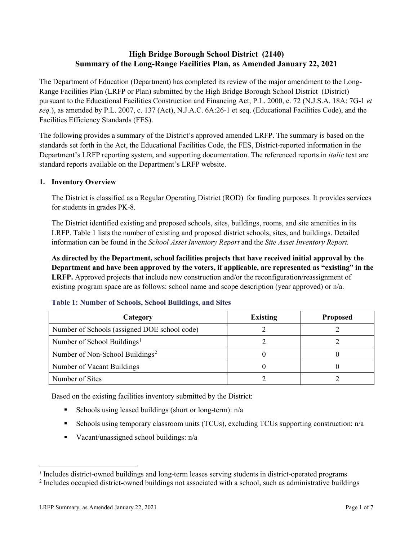# **High Bridge Borough School District (2140) Summary of the Long-Range Facilities Plan, as Amended January 22, 2021**

The Department of Education (Department) has completed its review of the major amendment to the Long-Range Facilities Plan (LRFP or Plan) submitted by the High Bridge Borough School District (District) pursuant to the Educational Facilities Construction and Financing Act, P.L. 2000, c. 72 (N.J.S.A. 18A: 7G-1 *et seq.*), as amended by P.L. 2007, c. 137 (Act), N.J.A.C. 6A:26-1 et seq. (Educational Facilities Code), and the Facilities Efficiency Standards (FES).

The following provides a summary of the District's approved amended LRFP. The summary is based on the standards set forth in the Act, the Educational Facilities Code, the FES, District-reported information in the Department's LRFP reporting system, and supporting documentation. The referenced reports in *italic* text are standard reports available on the Department's LRFP website.

#### **1. Inventory Overview**

The District is classified as a Regular Operating District (ROD) for funding purposes. It provides services for students in grades PK-8.

The District identified existing and proposed schools, sites, buildings, rooms, and site amenities in its LRFP. Table 1 lists the number of existing and proposed district schools, sites, and buildings. Detailed information can be found in the *School Asset Inventory Report* and the *Site Asset Inventory Report.*

**As directed by the Department, school facilities projects that have received initial approval by the Department and have been approved by the voters, if applicable, are represented as "existing" in the LRFP.** Approved projects that include new construction and/or the reconfiguration/reassignment of existing program space are as follows: school name and scope description (year approved) or n/a.

| Category                                     | <b>Existing</b> | <b>Proposed</b> |
|----------------------------------------------|-----------------|-----------------|
| Number of Schools (assigned DOE school code) |                 |                 |
| Number of School Buildings <sup>1</sup>      |                 |                 |
| Number of Non-School Buildings <sup>2</sup>  |                 |                 |
| Number of Vacant Buildings                   |                 |                 |
| Number of Sites                              |                 |                 |

#### **Table 1: Number of Schools, School Buildings, and Sites**

Based on the existing facilities inventory submitted by the District:

- Schools using leased buildings (short or long-term):  $n/a$
- Schools using temporary classroom units (TCUs), excluding TCUs supporting construction: n/a
- Vacant/unassigned school buildings:  $n/a$

 $\overline{a}$ 

<span id="page-1-1"></span><span id="page-1-0"></span>*<sup>1</sup>* Includes district-owned buildings and long-term leases serving students in district-operated programs

<sup>&</sup>lt;sup>2</sup> Includes occupied district-owned buildings not associated with a school, such as administrative buildings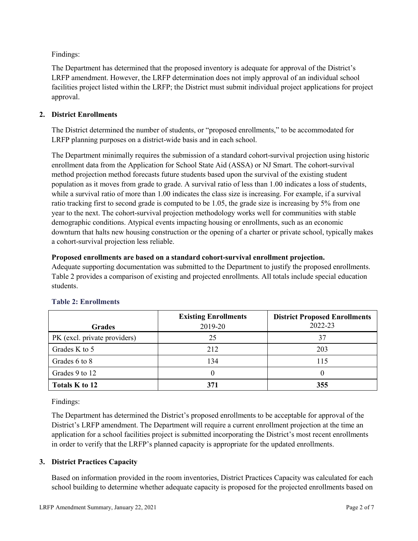Findings:

The Department has determined that the proposed inventory is adequate for approval of the District's LRFP amendment. However, the LRFP determination does not imply approval of an individual school facilities project listed within the LRFP; the District must submit individual project applications for project approval.

## **2. District Enrollments**

The District determined the number of students, or "proposed enrollments," to be accommodated for LRFP planning purposes on a district-wide basis and in each school.

The Department minimally requires the submission of a standard cohort-survival projection using historic enrollment data from the Application for School State Aid (ASSA) or NJ Smart. The cohort-survival method projection method forecasts future students based upon the survival of the existing student population as it moves from grade to grade. A survival ratio of less than 1.00 indicates a loss of students, while a survival ratio of more than 1.00 indicates the class size is increasing. For example, if a survival ratio tracking first to second grade is computed to be 1.05, the grade size is increasing by 5% from one year to the next. The cohort-survival projection methodology works well for communities with stable demographic conditions. Atypical events impacting housing or enrollments, such as an economic downturn that halts new housing construction or the opening of a charter or private school, typically makes a cohort-survival projection less reliable.

## **Proposed enrollments are based on a standard cohort-survival enrollment projection.**

Adequate supporting documentation was submitted to the Department to justify the proposed enrollments. Table 2 provides a comparison of existing and projected enrollments. All totals include special education students.

|                              | <b>Existing Enrollments</b> | <b>District Proposed Enrollments</b> |
|------------------------------|-----------------------------|--------------------------------------|
| <b>Grades</b>                | 2019-20                     | 2022-23                              |
| PK (excl. private providers) | 25                          | 37                                   |
| Grades K to 5                | 212                         | 203                                  |
| Grades 6 to 8                | 134                         | 115                                  |
| Grades 9 to 12               |                             |                                      |
| Totals K to 12               | 371                         | 355                                  |

# **Table 2: Enrollments**

Findings:

The Department has determined the District's proposed enrollments to be acceptable for approval of the District's LRFP amendment. The Department will require a current enrollment projection at the time an application for a school facilities project is submitted incorporating the District's most recent enrollments in order to verify that the LRFP's planned capacity is appropriate for the updated enrollments.

# **3. District Practices Capacity**

Based on information provided in the room inventories, District Practices Capacity was calculated for each school building to determine whether adequate capacity is proposed for the projected enrollments based on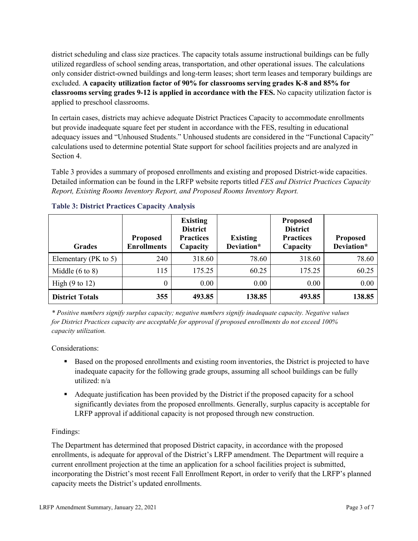district scheduling and class size practices. The capacity totals assume instructional buildings can be fully utilized regardless of school sending areas, transportation, and other operational issues. The calculations only consider district-owned buildings and long-term leases; short term leases and temporary buildings are excluded. **A capacity utilization factor of 90% for classrooms serving grades K-8 and 85% for classrooms serving grades 9-12 is applied in accordance with the FES.** No capacity utilization factor is applied to preschool classrooms.

In certain cases, districts may achieve adequate District Practices Capacity to accommodate enrollments but provide inadequate square feet per student in accordance with the FES, resulting in educational adequacy issues and "Unhoused Students." Unhoused students are considered in the "Functional Capacity" calculations used to determine potential State support for school facilities projects and are analyzed in Section 4.

Table 3 provides a summary of proposed enrollments and existing and proposed District-wide capacities. Detailed information can be found in the LRFP website reports titled *FES and District Practices Capacity Report, Existing Rooms Inventory Report, and Proposed Rooms Inventory Report.*

| <b>Grades</b>              | <b>Proposed</b><br><b>Enrollments</b> | <b>Existing</b><br><b>District</b><br><b>Practices</b><br>Capacity | <b>Existing</b><br>Deviation* | <b>Proposed</b><br><b>District</b><br><b>Practices</b><br>Capacity | <b>Proposed</b><br>Deviation* |
|----------------------------|---------------------------------------|--------------------------------------------------------------------|-------------------------------|--------------------------------------------------------------------|-------------------------------|
| Elementary ( $PK$ to 5)    | 240                                   | 318.60                                                             | 78.60                         | 318.60                                                             | 78.60                         |
| Middle $(6 \text{ to } 8)$ | 115                                   | 175.25                                                             | 60.25                         | 175.25                                                             | 60.25                         |
| High $(9 \text{ to } 12)$  | $\theta$                              | 0.00                                                               | 0.00                          | 0.00                                                               | 0.00                          |
| <b>District Totals</b>     | 355                                   | 493.85                                                             | 138.85                        | 493.85                                                             | 138.85                        |

## **Table 3: District Practices Capacity Analysis**

*\* Positive numbers signify surplus capacity; negative numbers signify inadequate capacity. Negative values for District Practices capacity are acceptable for approval if proposed enrollments do not exceed 100% capacity utilization.*

Considerations:

- Based on the proposed enrollments and existing room inventories, the District is projected to have inadequate capacity for the following grade groups, assuming all school buildings can be fully utilized: n/a
- Adequate justification has been provided by the District if the proposed capacity for a school significantly deviates from the proposed enrollments. Generally, surplus capacity is acceptable for LRFP approval if additional capacity is not proposed through new construction.

## Findings:

The Department has determined that proposed District capacity, in accordance with the proposed enrollments, is adequate for approval of the District's LRFP amendment. The Department will require a current enrollment projection at the time an application for a school facilities project is submitted, incorporating the District's most recent Fall Enrollment Report, in order to verify that the LRFP's planned capacity meets the District's updated enrollments.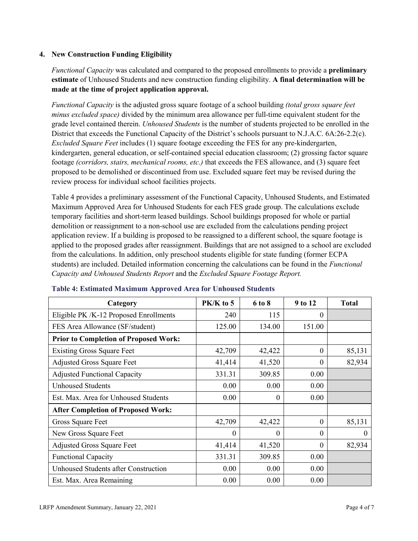## **4. New Construction Funding Eligibility**

*Functional Capacity* was calculated and compared to the proposed enrollments to provide a **preliminary estimate** of Unhoused Students and new construction funding eligibility. **A final determination will be made at the time of project application approval.**

*Functional Capacity* is the adjusted gross square footage of a school building *(total gross square feet minus excluded space)* divided by the minimum area allowance per full-time equivalent student for the grade level contained therein. *Unhoused Students* is the number of students projected to be enrolled in the District that exceeds the Functional Capacity of the District's schools pursuant to N.J.A.C. 6A:26-2.2(c). *Excluded Square Feet* includes (1) square footage exceeding the FES for any pre-kindergarten, kindergarten, general education, or self-contained special education classroom; (2) grossing factor square footage *(corridors, stairs, mechanical rooms, etc.)* that exceeds the FES allowance, and (3) square feet proposed to be demolished or discontinued from use. Excluded square feet may be revised during the review process for individual school facilities projects.

Table 4 provides a preliminary assessment of the Functional Capacity, Unhoused Students, and Estimated Maximum Approved Area for Unhoused Students for each FES grade group. The calculations exclude temporary facilities and short-term leased buildings. School buildings proposed for whole or partial demolition or reassignment to a non-school use are excluded from the calculations pending project application review. If a building is proposed to be reassigned to a different school, the square footage is applied to the proposed grades after reassignment. Buildings that are not assigned to a school are excluded from the calculations. In addition, only preschool students eligible for state funding (former ECPA students) are included. Detailed information concerning the calculations can be found in the *Functional Capacity and Unhoused Students Report* and the *Excluded Square Footage Report.*

| Category                                     | $PK/K$ to 5 | 6 to 8   | 9 to 12  | <b>Total</b> |
|----------------------------------------------|-------------|----------|----------|--------------|
| Eligible PK /K-12 Proposed Enrollments       | 240         | 115      | 0        |              |
| FES Area Allowance (SF/student)              | 125.00      | 134.00   | 151.00   |              |
| <b>Prior to Completion of Proposed Work:</b> |             |          |          |              |
| <b>Existing Gross Square Feet</b>            | 42,709      | 42,422   | $\theta$ | 85,131       |
| <b>Adjusted Gross Square Feet</b>            | 41,414      | 41,520   | $\theta$ | 82,934       |
| <b>Adjusted Functional Capacity</b>          | 331.31      | 309.85   | 0.00     |              |
| <b>Unhoused Students</b>                     | 0.00        | 0.00     | 0.00     |              |
| Est. Max. Area for Unhoused Students         | 0.00        | 0        | 0.00     |              |
| <b>After Completion of Proposed Work:</b>    |             |          |          |              |
| Gross Square Feet                            | 42,709      | 42,422   | $\theta$ | 85,131       |
| New Gross Square Feet                        | $\theta$    | $\Omega$ | $\Omega$ | $\theta$     |
| <b>Adjusted Gross Square Feet</b>            | 41,414      | 41,520   | $\Omega$ | 82,934       |
| <b>Functional Capacity</b>                   | 331.31      | 309.85   | 0.00     |              |
| <b>Unhoused Students after Construction</b>  | 0.00        | 0.00     | 0.00     |              |
| Est. Max. Area Remaining                     | 0.00        | 0.00     | 0.00     |              |

#### **Table 4: Estimated Maximum Approved Area for Unhoused Students**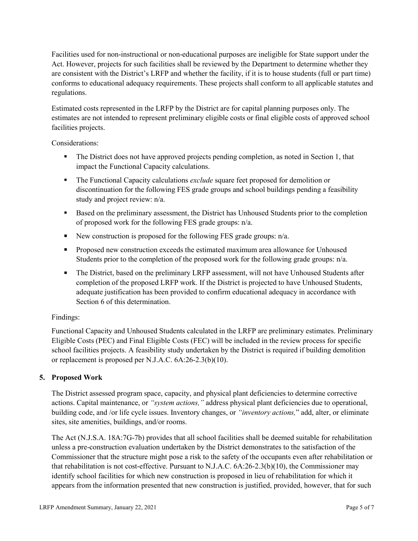Facilities used for non-instructional or non-educational purposes are ineligible for State support under the Act. However, projects for such facilities shall be reviewed by the Department to determine whether they are consistent with the District's LRFP and whether the facility, if it is to house students (full or part time) conforms to educational adequacy requirements. These projects shall conform to all applicable statutes and regulations.

Estimated costs represented in the LRFP by the District are for capital planning purposes only. The estimates are not intended to represent preliminary eligible costs or final eligible costs of approved school facilities projects.

Considerations:

- The District does not have approved projects pending completion, as noted in Section 1, that impact the Functional Capacity calculations.
- **The Functional Capacity calculations** *exclude* square feet proposed for demolition or discontinuation for the following FES grade groups and school buildings pending a feasibility study and project review: n/a.
- Based on the preliminary assessment, the District has Unhoused Students prior to the completion of proposed work for the following FES grade groups: n/a.
- New construction is proposed for the following FES grade groups: n/a.
- Proposed new construction exceeds the estimated maximum area allowance for Unhoused Students prior to the completion of the proposed work for the following grade groups: n/a.
- The District, based on the preliminary LRFP assessment, will not have Unhoused Students after completion of the proposed LRFP work. If the District is projected to have Unhoused Students, adequate justification has been provided to confirm educational adequacy in accordance with Section 6 of this determination.

## Findings:

Functional Capacity and Unhoused Students calculated in the LRFP are preliminary estimates. Preliminary Eligible Costs (PEC) and Final Eligible Costs (FEC) will be included in the review process for specific school facilities projects. A feasibility study undertaken by the District is required if building demolition or replacement is proposed per N.J.A.C. 6A:26-2.3(b)(10).

## **5. Proposed Work**

The District assessed program space, capacity, and physical plant deficiencies to determine corrective actions. Capital maintenance, or *"system actions,"* address physical plant deficiencies due to operational, building code, and /or life cycle issues. Inventory changes, or *"inventory actions,*" add, alter, or eliminate sites, site amenities, buildings, and/or rooms.

The Act (N.J.S.A. 18A:7G-7b) provides that all school facilities shall be deemed suitable for rehabilitation unless a pre-construction evaluation undertaken by the District demonstrates to the satisfaction of the Commissioner that the structure might pose a risk to the safety of the occupants even after rehabilitation or that rehabilitation is not cost-effective. Pursuant to N.J.A.C. 6A:26-2.3(b)(10), the Commissioner may identify school facilities for which new construction is proposed in lieu of rehabilitation for which it appears from the information presented that new construction is justified, provided, however, that for such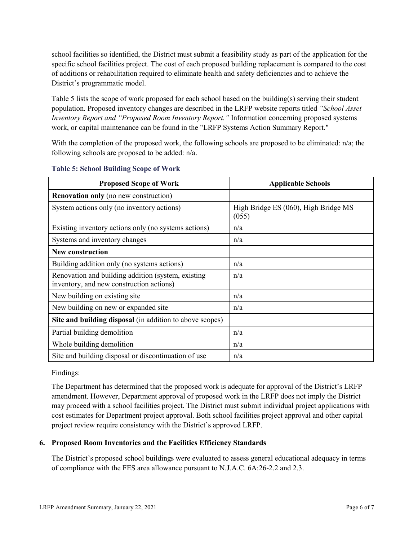school facilities so identified, the District must submit a feasibility study as part of the application for the specific school facilities project. The cost of each proposed building replacement is compared to the cost of additions or rehabilitation required to eliminate health and safety deficiencies and to achieve the District's programmatic model.

Table 5 lists the scope of work proposed for each school based on the building(s) serving their student population. Proposed inventory changes are described in the LRFP website reports titled *"School Asset Inventory Report and "Proposed Room Inventory Report."* Information concerning proposed systems work, or capital maintenance can be found in the "LRFP Systems Action Summary Report."

With the completion of the proposed work, the following schools are proposed to be eliminated:  $n/a$ ; the following schools are proposed to be added: n/a.

| <b>Proposed Scope of Work</b>                                                                  | <b>Applicable Schools</b>                     |
|------------------------------------------------------------------------------------------------|-----------------------------------------------|
| <b>Renovation only</b> (no new construction)                                                   |                                               |
| System actions only (no inventory actions)                                                     | High Bridge ES (060), High Bridge MS<br>(055) |
| Existing inventory actions only (no systems actions)                                           | n/a                                           |
| Systems and inventory changes                                                                  | n/a                                           |
| <b>New construction</b>                                                                        |                                               |
| Building addition only (no systems actions)                                                    | n/a                                           |
| Renovation and building addition (system, existing<br>inventory, and new construction actions) | n/a                                           |
| New building on existing site.                                                                 | n/a                                           |
| New building on new or expanded site                                                           | n/a                                           |
| Site and building disposal (in addition to above scopes)                                       |                                               |
| Partial building demolition                                                                    | n/a                                           |
| Whole building demolition                                                                      | n/a                                           |
| Site and building disposal or discontinuation of use                                           | n/a                                           |

#### **Table 5: School Building Scope of Work**

Findings:

The Department has determined that the proposed work is adequate for approval of the District's LRFP amendment. However, Department approval of proposed work in the LRFP does not imply the District may proceed with a school facilities project. The District must submit individual project applications with cost estimates for Department project approval. Both school facilities project approval and other capital project review require consistency with the District's approved LRFP.

## **6. Proposed Room Inventories and the Facilities Efficiency Standards**

The District's proposed school buildings were evaluated to assess general educational adequacy in terms of compliance with the FES area allowance pursuant to N.J.A.C. 6A:26-2.2 and 2.3.